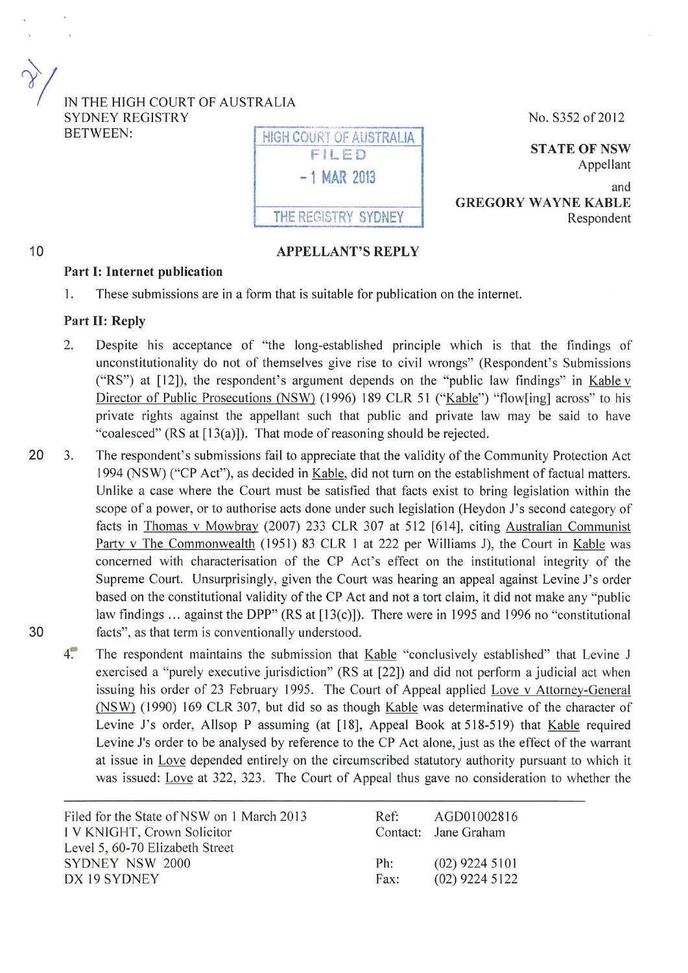IN THE HIGH COURT OF AUSTRALIA SYDNEY REGISTRY BETWEEN: **INGH COURT OF AUSTRALIA** 

# **-1 MAR** <sup>2013</sup>

FILED

THE REGISTRY SYDNEY

## APPELLANT'S REPLY

No. S352 of2012

**STATE OF NSW** Appellant

and GREGORY WAYNE KABLE Respondent

### Part **1:** Internet publication

I. These submissions are in a form that is suitable for publication on the internet.

#### Part II: Reply

 $\gamma/$ 

10

- 2. Despite his acceptance of "the long-established principle which is that the findings of unconstitutionality do not of themselves give rise to civil wrongs" (Respondent's Submissions ("RS") at  $[12]$ ), the respondent's argument depends on the "public law findings" in Kable v Director of Public Prosecutions (NSW) (1996) 189 CLR 51 ("Kable") "flow[ing] across" to his private rights against the appellant such that public and private law may be said to have "coalesced" (RS at [13(a)]). That mode of reasoning should be rejected.
- 20 3. The respondent's submissions fail to appreciate that the validity of the Community Protection Act 1994 (NSW) ("CP Act"), as decided in Kable, did not turn on the establishment of factual matters. Unlike a case where the Court must be satisfied that facts exist to bring legislation within the scope of a power, or to authorise acts done under such legislation (Heydon J's second category of facts in Thomas v Mowbray (2007) 233 CLR 307 at 512 [614], citing Australian Communist Party v The Commonwealth (1951) 83 CLR I at 222 per Williams J), the Court in Kable was concerned with characterisation of the CP Act's effect on the institutional integrity of the Supreme Court. Unsurprisingly, given the Court was hearing an appeal against Levine J's order based on the constitutional validity of the CP Act and not a tort claim, it did not make any "public law findings ... against the DPP" (RS at [13(c)]). There were in 1995 and 1996 no "constitutional 30 facts", as that term is conventionally understood.
	- 4. The respondent maintains the submission that Kable "conclusively established" that Levine J exercised a "purely executive jurisdiction" (RS at [22]) and did not perform a judicial act when issuing his order of 23 February 1995. The Court of Appeal applied Love v Attorney-General (NSW) (1990) 169 CLR 307, but did so as though Kable was determinative of the character of Levine J's order, Allsop P assuming (at [18], Appeal Book at 518-519) that Kable required Levine J's order to be analysed by reference to the CP Act alone, just as the effect of the warrant at issue in Love depended entirely on the circumscribed statutory authority pursuant to which it was issued: Love at 322, 323. The Court of Appeal thus gave no consideration to whether the

| Filed for the State of NSW on 1 March 2013 | $Ref+$ | AGD01002816          |
|--------------------------------------------|--------|----------------------|
| I V KNIGHT, Crown Solicitor                |        | Contact: Jane Graham |
| Level 5, 60-70 Elizabeth Street            |        |                      |
| SYDNEY NSW 2000                            | Ph:    | $(02)$ 9224 5101     |
| DX 19 SYDNEY                               | Fax:   | $(02)$ 9224 5122     |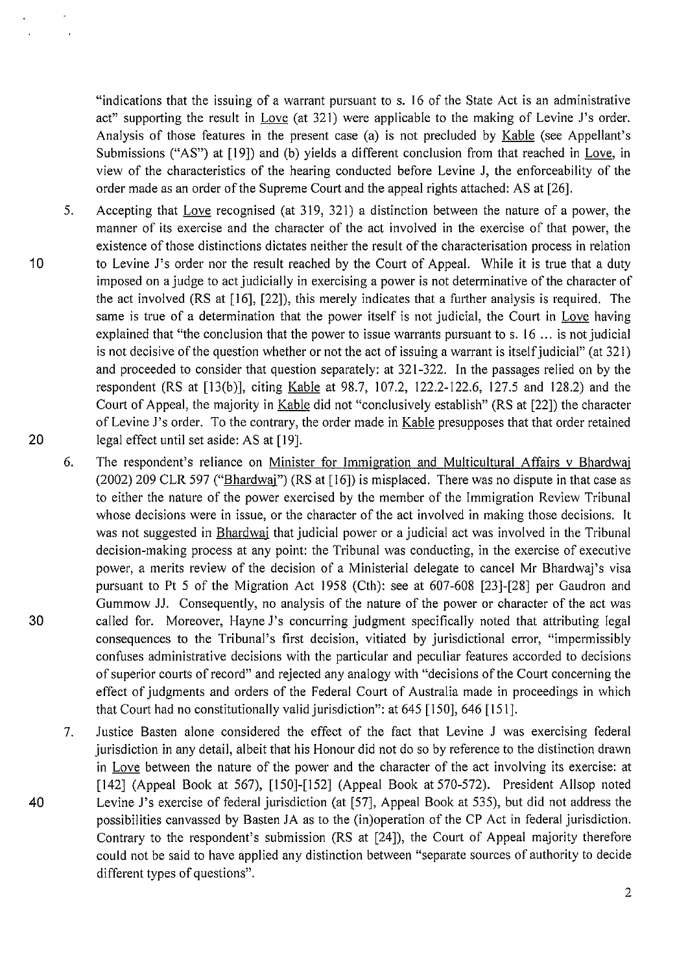"indications that the issuing of a warrant pursuant to s. 16 of the State Act is an administrative act" supporting the result in Love (at 321) were applicable to the making of Levine J's order. Analysis of those features in the present case (a) is not precluded by Kable (see Appellant's Submissions ("AS") at [19]) and (b) yields a different conclusion from that reached in Love, in view of the characteristics of the hearing conducted before Levine J, the enforceability of the order made as an order of the Supreme Court and the appeal rights attached: AS at [26].

5. Accepting that Love recognised (at 319, 321) a distinction between the nature of a power, the manner of its exercise and the character of the act involved in the exercise of that power, the existence of those distinctions dictates neither the result of the characterisation process in relation to Levine J's order nor the result reached by the Court of Appeal. While it is true that a duty imposed on a judge to act judicially in exercising a power is not determinative of the character of the act involved (RS at [ 16], [22]), this merely indicates that a further analysis is required. The same is true of a determination that the power itself is not judicial, the Court in Love having explained that "the conclusion that the power to issue warrants pursuant to s. 16 ... is not judicial is not decisive of the question whether or not the act of issuing a warrant is itself judicial" (at 321) and proceeded to consider that question separately: at 321-322. In the passages relied on by the respondent (RS at [13(b)], citing Kable at 98.7, 107.2, 122.2-122.6, 127.5 and 128.2) and the Court of Appeal, the majority in Kable did not "conclusively establish" (RS at [22]) the character of Levine J's order. To the contrary, the order made in Kable presupposes that that order retained legal effect until set aside: AS at [19].

10

 $\overline{ }$ 

 $\overline{\phantom{a}}$ 

20

- 6. The respondent's reliance on Minister for Immigration and Multicultural Affairs v Bhardwaj (2002) 209 CLR 597 ("Bhardwaj") (RS at [16]) is misplaced. There was no dispute in that case as to either the nature of the power exercised by the member of the Immigration Review Tribunal whose decisions were in issue, or the character of the act involved in making those decisions. It was not suggested in Bhardwaj that judicial power or a judicial act was involved in the Tribunal decision-making process at any point: the Tribunal was conducting, in the exercise of executive power, a merits review of the decision of a Ministerial delegate to cancel Mr Bhardwaj's visa pursuant to Pt 5 of the Migration Act 1958 (Cth): see at 607-608 [23]-[28] per Gaudron and Gummow JJ. Consequently, no analysis of the nature of the power or character of the act was 30 called for. Moreover, Hayne J's concurring judgment specifically noted that attributing legal consequences to the Tribunal's first decision, vitiated by jurisdictional error, "impermissibly confuses administrative decisions with the particular and peculiar features accorded to decisions of superior courts of record" and rejected any analogy with "decisions of the Court concerning the effect of judgments and orders of the Federal Court of Australia made in proceedings in which that Court had no constitutionally valid jurisdiction": at 645 [ 150], 646 [ 151].
- 7. Justice Basten alone considered the effect of the fact that Levine J was exercising federal jurisdiction in any detail, albeit that his Honour did not do so by reference to the distinction drawn in Love between the nature of the power and the character of the act involving its exercise: at [142] (Appeal Book at 567), [150]-[152] (Appeal Book at 570-572). President Allsop noted 40 Levine J's exercise of federal jurisdiction (at [57], Appeal Book at 535), but did not address the possibilities canvassed by Basten JA as to the (in)operation of the CP Act in federal jurisdiction. Contrary to the respondent's submission (RS at [24]), the Court of Appeal majority therefore could not be said to have applied any distinction between "separate sources of authority to decide different types of questions".

2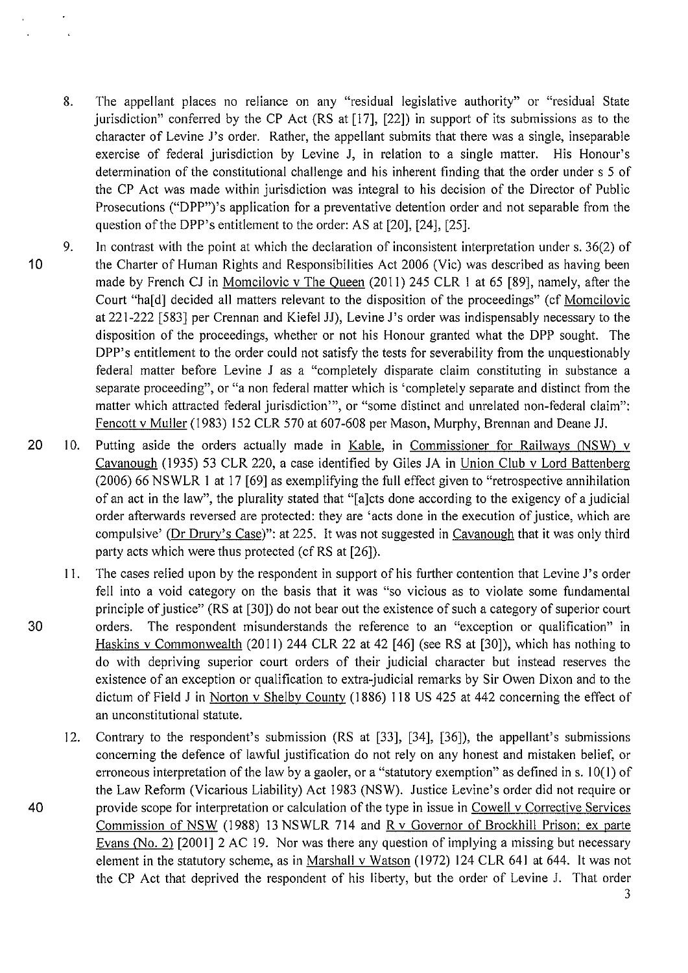8. The appellant places no reliance on any "residual legislative authority" or "residual State jurisdiction" conferred by the CP Act (RS at [17], [22]) in support of its submissions as to the character of Levine J's order. Rather, the appellant submits that there was a single, inseparable exercise of federal jurisdiction by Levine J, in relation to a single matter. His Honour's determination of the constitutional challenge and his inherent finding that the order under s 5 of the CP Act was made within jurisdiction was integral to his decision of the Director of Public Prosecutions ("DPP")'s application for a preventative detention order and not separable from the question of the DPP's entitlement to the order: AS at [20], [24], [25].

 $\ddot{\phantom{a}}$ 

- 10 9. In contrast with the point at which the declaration of inconsistent interpretation under s. 36(2) of the Charter of Human Rights and Responsibilities Act 2006 (Vic) was described as having been made by French CJ in Momcilovic v The Queen (2011) 245 CLR I at 65 [89], namely, after the Court "ha[d] decided all matters relevant to the disposition of the proceedings" (cf Momcilovic at 221-222 [583] per Crennan and Kiefel JJ), Levine J's order was indispensably necessary to the disposition of the proceedings, whether or not his Honour granted what the DPP sought. The DPP's entitlement to the order could not satisfy the tests for severability from the unquestionably federal matter before Levine J as a "completely disparate claim constituting in substance a separate proceeding", or "a non federal matter which is 'completely separate and distinct from the matter which attracted federal jurisdiction"', or "some distinct and unrelated non-federal claim": Fencott v Muller (1983) 152 CLR 570 at 607-608 per Mason, Murphy, Brennan and Deane JJ.
- 20 10. Putting aside the orders actually made in Kable, in Commissioner for Railways (NSW) v Cavanaugh (1935) 53 CLR 220, a case identified by Giles JA in Union Club v Lord Battenberg (2006) 66 NSWLR I at 17 [69] as exemplifying the full effect given to "retrospective annihilation of an act in the law", the plurality stated that "[a]cts done according to the exigency of a judicial order afterwards reversed are protected: they are 'acts done in the execution of justice, which are compulsive' (Dr Drury's Case)'': at 225. It was not suggested in Cavanaugh that it was only third party acts which were thus protected (cf RS at [26]).
- II. The cases relied upon by the respondent in support of his further contention that Levine J's order fell into a void category on the basis that it was "so vicious as to violate some fundamental principle of justice" (RS at [30]) do not bear out the existence of such a category of superior court 30 orders. The respondent misunderstands the reference to an "exception or qualification" in Haskins v Commonwealth (2011) 244 CLR 22 at 42 [46] (see RS at [30]), which has nothing to do with depriving superior court orders of their judicial character but instead reserves the existence of an exception or qualification to extra-judicial remarks by Sir Owen Dixon and to the dictum of Field J in Norton v Shelby County ( 1886) 118 US 425 at 442 concerning the effect of an unconstitutional statute.
- 12. Contrary to the respondent's submission (RS at [33], [34], [36]), the appellant's submissions concerning the defence of lawful justification do not rely on any honest and mistaken belief, or erroneous interpretation of the law by a gaoler, or a "statutory exemption" as defined in s. 10(1) of the Law Reform (Vicarious Liability) Act 1983 (NSW). Justice Levine's order did not require or 40 provide scope for interpretation or calculation of the type in issue in Cowell v Corrective Services Commission of NSW (1988) 13 NSWLR 714 and R v Governor of Brockhill Prison: ex parte Evans (No. 2) [2001] 2 AC 19. Nor was there any question of implying a missing but necessary element in the statutory scheme, as in Marshall v Watson (1972) 124 CLR 641 at 644. It was not the CP Act that deprived the respondent of his liberty, but the order of Levine J. That order 3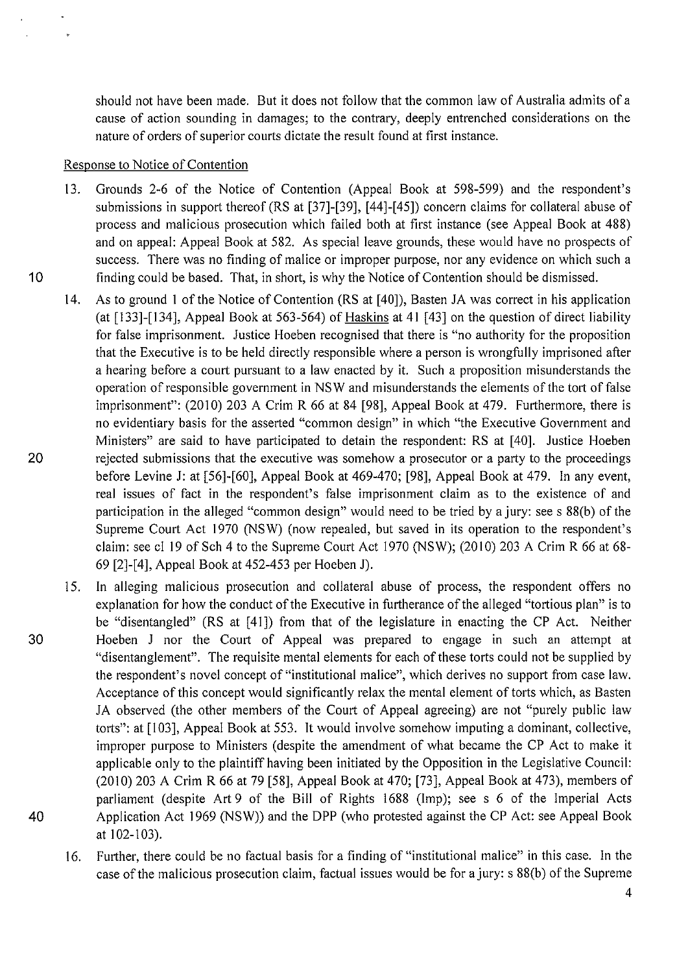should not have been made. But it does not follow that the common law of Australia admits of a cause of action sounding in damages; to the contrary, deeply entrenched considerations on the nature of orders of superior courts dictate the result found at first instance.

### Response to Notice of Contention

- 13. Grounds 2-6 of the Notice of Contention (Appeal Book at 598-599) and the respondent's submissions in support thereof (RS at [37]-[39], [44]-[45]) concern claims for collateral abuse of process and malicious prosecution which failed both at first instance (see Appeal Book at 488) and on appeal: Appeal Book at 582. As special leave grounds, these would have no prospects of success. There was no finding of malice or improper purpose, nor any evidence on which such a 10 finding could be based. That, in short, is why the Notice of Contention should be dismissed.
- 14. As to ground I of the Notice of Contention (RS at [40]), Basten JA was correct in his application (at [133]-[134], Appeal Book at 563-564) of Haskins at 41 [43] on the question of direct liability for false imprisonment. Justice Hoeben recognised that there is "no authority for the proposition that the Executive is to be held directly responsible where a person is wrongfully imprisoned after a hearing before a court pursuant to a law enacted by it. Such a proposition misunderstands the operation of responsible government in NS W and misunderstands the elements of the tort of false imprisonment": (2010) 203 A Crim R 66 at 84 [98], Appeal Book at 479. Furthermore, there is no evidentiary basis for the asserted "common design" in which "the Executive Government and Ministers" are said to have participated to detain the respondent: RS at [40]. Justice Hoeben 20 rejected submissions that the executive was somehow a prosecutor or a party to the proceedings before Levine J: at [56]-[60], Appeal Book at 469-470; [98], Appeal Book at 479. In any event, real issues of fact in the respondent's false imprisonment claim as to the existence of and participation in the alleged "common design" would need to be tried by a jury: sees 88(b) of the Supreme Court Act 1970 (NSW) (now repealed, but saved in its operation to the respondent's claim: see cl 19 of Sch 4 to the Supreme Court Act 1970 (NSW); (2010) 203 A Crim R 66 at 68-69 [2]-[4], Appeal Book at 452-453 per Hoeben J).
- 15. In alleging malicious prosecution and collateral abuse of process, the respondent offers no explanation for how the conduct of the Executive in furtherance of the alleged "tortious plan" is to be "disentangled" (RS at [41]) from that of the legislature in enacting the CP Act. Neither 30 Hoeben J nor the Court of Appeal was prepared to engage in such an attempt at "disentanglement". The requisite mental elements for each of these torts could not be supplied by the respondent's novel concept of"institutional malice", which derives no support from case Jaw. Acceptance of this concept would significantly relax the mental element of torts which, as Basten JA observed (the other members of the Court of Appeal agreeing) are not "purely public law torts": at [103], Appeal Book at 553. It would involve somehow imputing a dominant, collective, improper purpose to Ministers (despite the amendment of what became the CP Act to make it applicable only to the plaintiff having been initiated by the Opposition in the Legislative Council: (2010) 203 A Crim R 66 at 79 [58], Appeal Book at 470; [73], Appeal Book at 473), members of parliament (despite Art 9 of the Bill of Rights 1688 (Imp); see s 6 of the Imperial Acts 40 Application Act 1969 (NSW)) and the DPP (who protested against the CP Act: see Appeal Book at 102-103).
	- 16. Further, there could be no factual basis for a finding of "institutional malice" in this case. In the case of the malicious prosecution claim, factual issues would be for a jury: s 88(b) of the Supreme

 $\overline{a}$